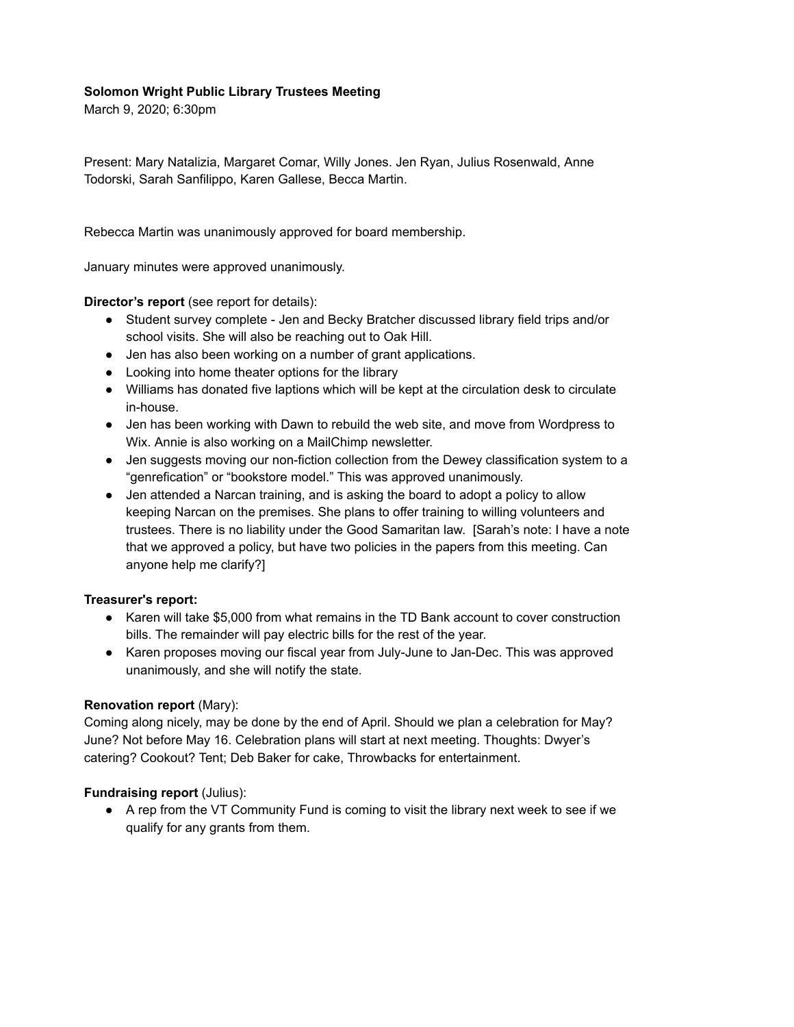### **Solomon Wright Public Library Trustees Meeting**

March 9, 2020; 6:30pm

Present: Mary Natalizia, Margaret Comar, Willy Jones. Jen Ryan, Julius Rosenwald, Anne Todorski, Sarah Sanfilippo, Karen Gallese, Becca Martin.

Rebecca Martin was unanimously approved for board membership.

January minutes were approved unanimously.

## **Director's report** (see report for details):

- Student survey complete Jen and Becky Bratcher discussed library field trips and/or school visits. She will also be reaching out to Oak Hill.
- Jen has also been working on a number of grant applications.
- Looking into home theater options for the library
- Williams has donated five laptions which will be kept at the circulation desk to circulate in-house.
- Jen has been working with Dawn to rebuild the web site, and move from Wordpress to Wix. Annie is also working on a MailChimp newsletter.
- Jen suggests moving our non-fiction collection from the Dewey classification system to a "genrefication" or "bookstore model." This was approved unanimously.
- Jen attended a Narcan training, and is asking the board to adopt a policy to allow keeping Narcan on the premises. She plans to offer training to willing volunteers and trustees. There is no liability under the Good Samaritan law. [Sarah's note: I have a note that we approved a policy, but have two policies in the papers from this meeting. Can anyone help me clarify?]

### **Treasurer's report:**

- Karen will take \$5,000 from what remains in the TD Bank account to cover construction bills. The remainder will pay electric bills for the rest of the year.
- Karen proposes moving our fiscal year from July-June to Jan-Dec. This was approved unanimously, and she will notify the state.

# **Renovation report** (Mary):

Coming along nicely, may be done by the end of April. Should we plan a celebration for May? June? Not before May 16. Celebration plans will start at next meeting. Thoughts: Dwyer's catering? Cookout? Tent; Deb Baker for cake, Throwbacks for entertainment.

# **Fundraising report** (Julius):

● A rep from the VT Community Fund is coming to visit the library next week to see if we qualify for any grants from them.